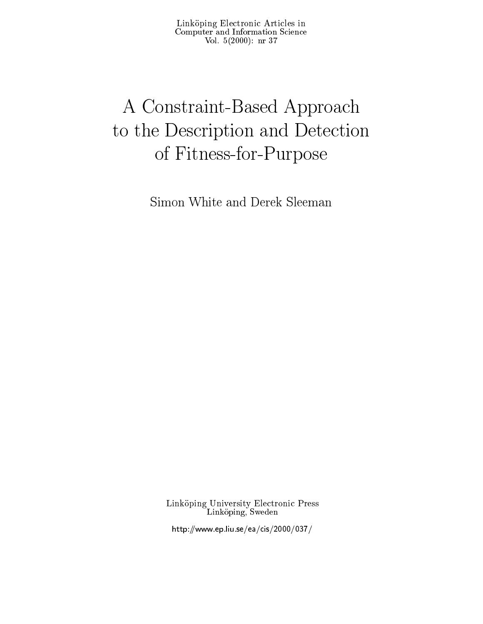Linköping Electronic Articles in oping Electronic Articles in the electronic Articles in the electronic Articles in the electronic Articles in the electronic Articles in the electronic Articles in the electronic Articles in the electronic Articles in the Computer and Information Science Vol- nr 

# A Constraint-Based Approach to the Description and Detection of Fitness-Boxes-Company and the purpose of the set of the set of the set of the set of the set of the set of the set of the set of the set of the set of the set of the set of the set of the set of the set of the set of th

Simon White and Derek Sleeman

Link-oping University Electronic Press en een persoon van die swedense van die swedense van die swedense van die swedenis van die swedens van die swe

http-wwwepliuseeacis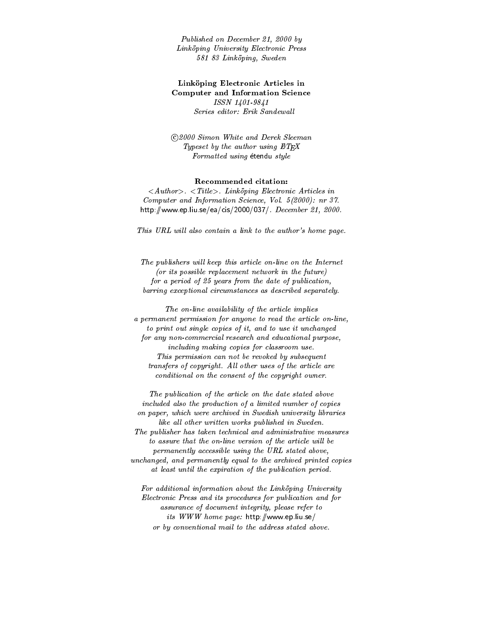Published on December - - by Linköping University Electronic Press 581 83 Linköping, Sweden

### Link-oping Electronic Articles in Computer and Information Science ISSN 1989 - ISSN 1989 - ISSN 1989 - ISSN 1989 - ISSN 1989 - ISSN 1989 - ISSN 1989 - ISSN 1989 - ISSN 1989 - ISSN 1989 - ISSN 1989 - ISSN 1989 - ISSN 1989 - ISSN 1989 - ISSN 1989 - ISSN 1989 - ISSN 1989 - ISSN 1989 - ISSN 1 Series editor: Erik Sandewall

(c)zooo Simon White and Derek Sleeman Typeset by the author using  $\cancel{B}T_F X$ Formatted using étendu style

# Recommended citation

Author- Title- Linkoping Electronic Articles in computer and Information Science Village Village Volcation Science Village Volcation Science Village Volcation http-wwwepliuseeacis December - -

This URL will also contain a link to the author's home page.

The publishers will keep this article on-line on the Internet  $(or its possible replacement network in the future)$ for a period of - years from the date of publication barring exceptional circumstances as described separately

The on-line availability of the article implies a permanent permission for anyone to read the article on-line, to print out single copies of it, and to use it unchanged for any non-commercial research and educational purpose, including making copies for classroom use This permission can not be revoked by subsequent transfers of copyright. All other uses of the article are conditional on the consent of the copyright owner

The publication of the article on the date stated above included also the production of a limited number of copies on paper, which were archived in Swedish university libraries like all other written works published in Sweden. The publisher has taken technical and administrative measures to assure that the on-line version of the article will be permanently accessible using the URL stated above unchanged, and permanently equal to the archived printed copies at least until the expiration of the publication period

For additional information about the Linkoping University Electronic Press and its procedures for publication and for assurance of document integrity, please refer to its whome page of the page of the page of the page of the page of the page of the page of the page of the page or by conventional mail to the address stated above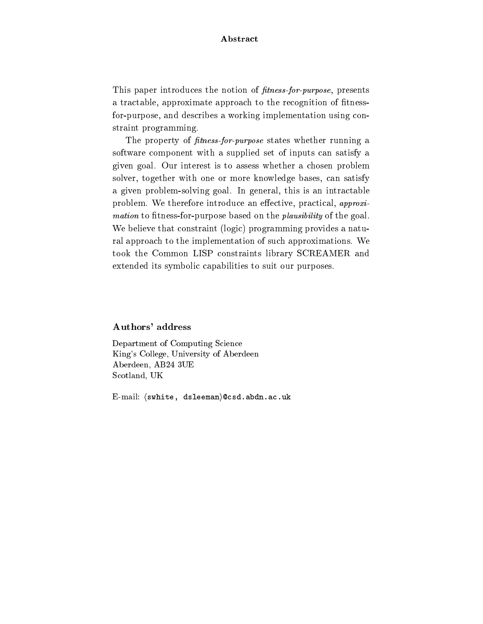# Abstract

This paper introduces the notion of tness-for-purpose presents a tractable, approximate approach to the recognition of fitnessfor-purpose, and describes a working implementation using constraint programming

The property of tness-for-purpose states whether running a software component with a supplied set of inputs can satisfy a given goal Our interest is to assess whether a chosen problem solver, together with one or more knowledge bases, can satisfy a given problem-solving goal. In general, this is an intractable problem. We therefore introduce an effective, practical,  $approxi$ mation to fitness-for-purpose based on the *plausibility* of the goal. We believe that constraint (logic) programming provides a natural approach to the implementation of such approximations. We took the Common LISP constraints library SCREAMER and extended its symbolic capabilities to suit our purposes

# Authors' address

Department of Computing Science King
s College University of Aberdeen Aberdeen, AB24 3UE Scotland UK

emanics (example is a discussed) or a second complete state of the state of the state of the state of the state of the state of the state of the state of the state of the state of the state of the state of the state of the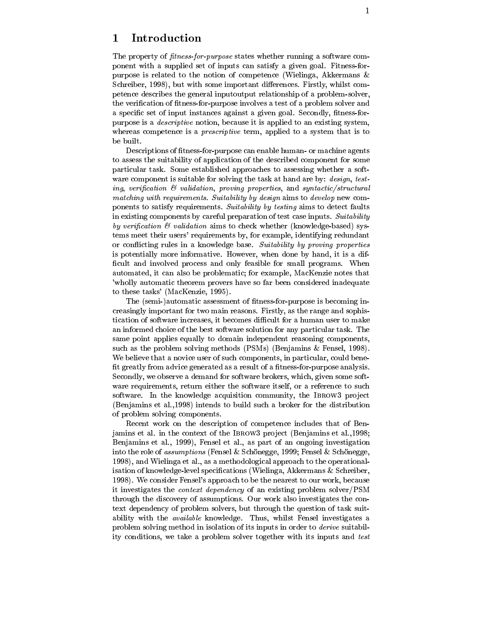# Introduction

The property of *fitness-for-purpose* states whether running a software component with a supplied set of inputs can satisfy a given goal Fitness-forpurpose is related to the notion of competence (Wielinga, Akkermans  $\&$ s var een een some ja with some in portant die een een een aanvangig waarden in die petence describes the general inputoutput relationship of a problem-solver the verication of tness-for-purpose involves a test of a problem solver and a species set is input instances against a given growth cooleration in the second purpose is a *descriptive* notion, because it is applied to an existing system, whereas competence is a *prescriptive* term, applied to a system that is to be built.

Descriptions of tness-for-purpose can enable human- or machine agents to assess the suitability of application of the described component for some particular task Some established approaches to assessing whether a software component is suitable for solving the task at hand are by: *design, test*ing, verification  $\mathcal{B}$  validation, proving properties, and syntactic/structural matching with requirements. Suitability by design aims to develop new components to satisfy requirements. Suitability by testing aims to detect faults in existing components by careful preparation of test case inputs. Suitability by verication validation aims to check whether knowledge-based systems meet their users' requirements by, for example, identifying redundant or conflicting rules in a knowledge base. Suitability by proving properties is potentially more informative. However, when done by hand, it is a difficult and involved process and only feasible for small programs. When automated, it can also be problematic; for example, MacKenzie notes that wholly automatic theorem provers have so far been considered inadequate to the tasks may be a set of the set of the set of the set of the set of the set of the set of the set of the

The semi- automatic assessment of tness-for-purpose is becoming increasingly important for two main reasons. Firstly, as the range and sophistication of software increases, it becomes difficult for a human user to make an informed choice of the best software solution for any particular task. The same point applies equally to domain independent reasoning components such as the problem solving methods PSMs (2 and 12 and 2002) as the problem  $\mathcal{L}$ We believe that a novice user of such components, in particular, could benet greatly from advice generated as a result of a tness-for-purpose analysis Secondly, we observe a demand for software brokers, which, given some software requirements, return either the software itself, or a reference to such software In the model of the community the Ibrow-In the Ibrow-In the Ibrow-In the Ibrow-In the Ibrow-In the Ibr  $B$  intends to build such a broker for the distribution  $\mathbf{I}$ of problem solving components

Recent work on the description of competence includes that of Benjamins et al in the context of the Ibrow- pro ject Benjamins et al Benjamins et al Fensel et al as part of an ongoing investigation into the role of assumptions (Fensel & Schönegge, 1999; Fensel & Schönegge, and Wielinga et al as a methodological approach to the operationalisation of knowledge-level specications Wielinga Akkermans Schreiber We consider Fensels approach to be the nearest to our work because it investigates the *context dependency* of an existing problem solver/ $PSM$ through the discovery of assumptions Our work also investigates the context dependency of problem solvers but through the question of task suitability with the *available* knowledge. Thus, whilst Fensel investigates a problem solving method in isolation of its inputs in order to derive suitability conditions, we take a problem solver together with its inputs and test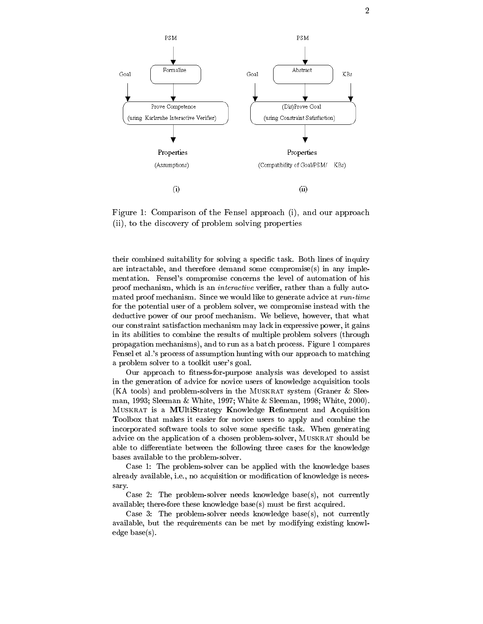

Figure 1: Comparison of the Fensel approach (i), and our approach (ii), to the discovery of problem solving properties

their combined suitability for solving a specific task. Both lines of inquiry are intractable and therefore demand some compromises  $\mu$  and  $\mu$  and  $\mu$ mentation. Fensel's compromise concerns the level of automation of his proof mechanism, which is an *interactive* verifier, rather than a fully automated proof mechanism. Since we would like to generate advice at run-time for the potential user of a problem solver, we compromise instead with the deductive power of our proof mechanism. We believe, however, that what our constraint satisfaction mechanism may lack in expressive power, it gains in its abilities to combine the results of multiple problem solvers (through propagation mechanisms and to run as a batch process figure . Compare to run as a batch process  $\mathcal{L}$ Fensel et al.'s process of assumption hunting with our approach to matching a problem solver to a toolkit user's goal.

Our approach to tness-for-purpose analysis was developed to assist in the generation of advice for novice users of knowledge acquisition tools (solvers in the Muskrat system and the Muskrat system Graner in the Muskrat system Graner Sleep Company) man , white Sleeman White Sleep are the Sleep and White Sleep and white Sleep and white  $\mu$ Muskrat is a MUltiStrategy Knowledge Renement and Acquisition Toolbox that makes it easier for novice users to apply and combine the incorporated software tools to solve some specific task. When generating advice on the application of a chosen problem-solver Muskrat should be able to differentiate between the following three cases for the knowledge bases available to the problem-bases available to the problem-bases available to the problem-bases of the problem-

Case The problem-solver can be applied with the knowledge bases already available, i.e., no acquisition or modification of knowledge is neces-

Case 2: The problem-solver needs knowledge base(s), not currently available the there is a constructed by the second the second control of the second control of the second control of

Case The problem-solver needs knowledge bases not currently available, but the requirements can be met by modifying existing knowledge bases bases of the base of the bases of the bases of the bases of the bases of the bases of the bases of the bases of the bases of the bases of the bases of the bases of the bases of the bases of the bases of the base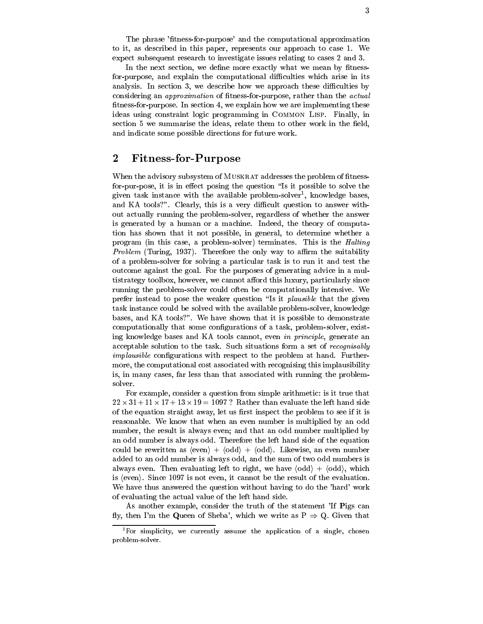The phrase tness-for-purpose and the computational approximation to it, as described in this paper, represents our approach to case 1. We expect subsequent research to investigate issues relating to cases  $2$  and  $3$ .

In the next section, we define more exactly what we mean by fitnessfor-purpose and explain the computational diculties which arise in its analysis. In section 3, we describe how we approach these difficulties by considering an approximation of member for purpose is common that movement tness-for-purpose In section we explain how we are implementing these ideas using constraint logic programming in COMMON LISP. Finally, in section 5 we summarise the ideas, relate them to other work in the field, and indicate some possible directions for future work

#### $\overline{2}$  $Fitness-for-Purpose$

When the advisory subsystem of MUSKRAT addresses the problem of fitnessfor-pur-pose it is in eect posing the question Is it possible to solve the given task instance with the available problem-solver knowledge bases and KA tools?". Clearly, this is a very difficult question to answer without actually running the problem-solver regardless of whether the answer is generated by a human or a machine. Indeed, the theory of computation has shown that it not possible, in general, to determine whether a program in this case a problem-solver terminates This is the Halting Problem Turing Therefore the only way to arm the suitability of a problem-solver for solving a particular task is to run it and test the outcome against the goal For the purposes of generating advice in a multistrategy toolbox, however, we cannot afford this luxury, particularly since running the problem-district countries to compute the could also the Westerlands Westerlands prefer instead to pose the weaker question "Is it *plausible* that the given task instance could be solved with the available problem-solver knowledge bases, and KA tools?". We have shown that it is possible to demonstrate computationally that some congurations of a task problem-solver existing knowledge bases and KA tools cannot, even in principle, generate an acceptable solution to the task. Such situations form a set of recognisably implausible configurations with respect to the problem at hand. Furthermore, the computational cost associated with recognising this implausibility is in many cases far less than that associated with running the problemsolver

For example, consider a question from simple arithmetic: is it true that  $22 \times 31 + 11 \times 11 + 13 \times 19 = 1091$  : Kather than evaluate the left hand side of the equation straight away, let us first inspect the problem to see if it is reasonable We know that when an even number is multiplied by an odd number, the result is always even; and that an odd number multiplied by an odd number is always odd. Therefore the left hand side of the equation could be rewritten as  $\langle \text{even} \rangle + \langle \text{odd} \rangle + \langle \text{odd} \rangle$ . Likewise, an even number added to an odd number is always odd, and the sum of two odd numbers is always even. Then evaluating left to right, we have  $\langle \text{odd} \rangle + \langle \text{odd} \rangle$ , which is (even). Since  $1097$  is not even, it cannot be the result of the evaluation. We have thus answered the question without having to do the 'hard' work of evaluating the actual value of the left hand side

As another example, consider the truth of the statement 'If Pigs can fly, then I'm the Queen of Sheba', which we write as  $P \Rightarrow Q$ . Given that

For simplicity- we currently assume the application of a single- chosen problem-solver.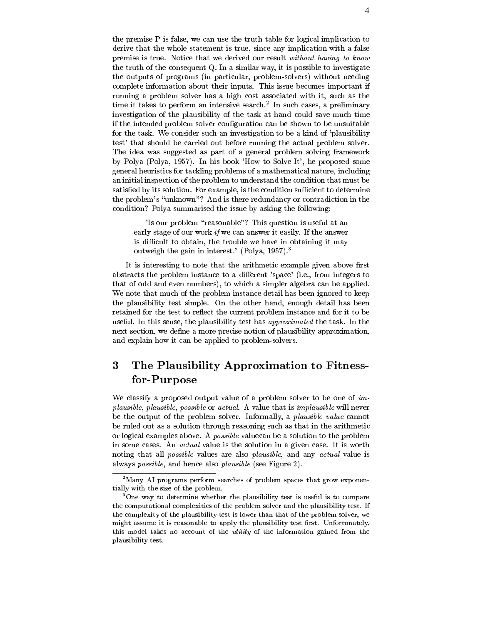the premise  $P$  is false, we can use the truth table for logical implication to derive that the whole statement is true, since any implication with a false premise is true. Notice that we derived our result without having to know the truth of the consequent  $Q$ . In a similar way, it is possible to investigate the outputs of programs in particular problem-solvers without needing complete information about their inputs. This issue becomes important if running a problem solver has a high cost associated with it, such as the time it takes to perform an intensive search- In such cases a preliminary investigation of the plausibility of the task at hand could save much time if the intended problem solver conguration can be shown to be unsuitable for the task. We consider such an investigation to be a kind of 'plausibility test' that should be carried out before running the actual problem solver. The idea was suggested as part of a general problem solving framework , Polya Polya Polya Polya Polya Polya Polya Polya Polya Polya Polya Polya Polya Polya Polya Polya Polya Polya general heuristics for tackling problems of a mathematical nature, including an initial inspection of the problem to understand the condition that must be satisfied by its solution. For example, is the condition sufficient to determine the problem's "unknown"? And is there redundancy or contradiction in the condition? Polya summarised the issue by asking the following:

'Is our problem "reasonable"? This question is useful at an early stage of our work if we can answer it easily. If the answer is difficult to obtain, the trouble we have in obtaining it may outweigh the gain in interest. (Polya, 1957).

It is interesting to note that the arithmetic example given above first abstracts the problem instance to a different 'space' (i.e., from integers to that of odd and even numbers to which a simpler algebra can be applied We note that much of the problem instance detail has been ignored to keep the plausibility test simple. On the other hand, enough detail has been retained for the test to reflect the current problem instance and for it to be useful. In this sense, the plausibility test has *approximated* the task. In the next section, we define a more precise notion of plausibility approximation, and explain how it can be applied to problem-be applied to problem-be applied to problem-be applied to problem-

# The Plausibility Approximation to Fitness for-Purpose

We classify a proposed output value of a problem solver to be one of *im*plausible, plausible, possible or actual. A value that is *implausible* will never be the output of the problem solver. Informally, a *plausible value* cannot be ruled out as a solution through reasoning such as that in the arithmetic or logical examples above A possible valuecan be a solution to the problem in some cases. An *actual* value is the solution in a given case. It is worth noting that all *possible* values are also *plausible*, and any *actual* value is always possible, and hence also plausible (see Figure 2).

<sup>-</sup>Many AI programs perform searches of problem spaces that grow exponen tially with the size of the problem

<sup>&</sup>lt;sup>3</sup>One way to determine whether the plausibility test is useful is to compare the computational complexities of the problem solver and the plausibility test. If the complexity of the plausibility test is lower than that of the problem solver- we might assume it is reasonable to apply the plausibility test first. Unfortunately, this model takes no account of the *utility* of the information gained from the plausibility test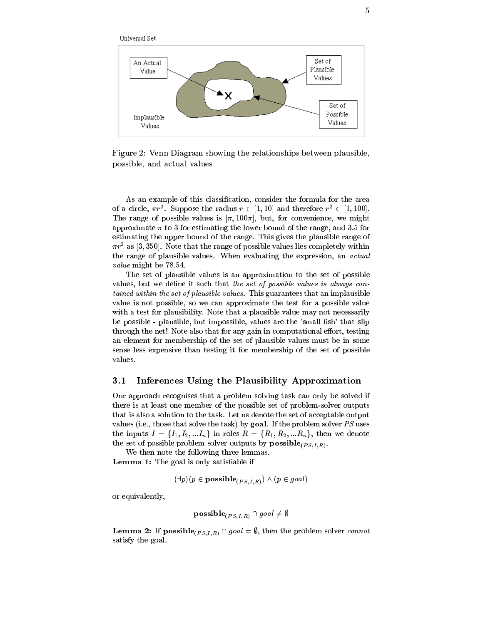

Figure 2: Venn Diagram showing the relationships between plausible, possible and actual values

As an example of this classification, consider the formula for the area of a circle,  $\pi r$ -. Suppose the radius  $r \in [1, 10]$  and therefore  $r^- \in [1, 100]$ . The range of possible values is  $[\pi, 100\pi]$ , but, for convenience, we might approximate  $\pi$  to 3 for estimating the lower bound of the range, and 3.5 for estimating the upper bound of the range This gives the plausible range of  $\pi r$ - as  $\ket{0,000}$ . Note that the range of possible values lies completely within the range of plausible values. When evaluating the expression, an *actual* value might be 78.54.

The set of plausible values is an approximation to the set of possible values, but we define it such that the set of possible values is always contained within the set of plausible values. This guarantees that an implausible value is not possible, so we can approximate the test for a possible value with a test for plausibility. Note that a plausible value may not necessarily be possible - plausible but impossible values are the small sh that slip through the net! Note also that for any gain in computational effort, testing an element for membership of the set of plausible values must be in some sense less expensive than testing it for membership of the set of possible values

# 3.1 Inferences Using the Plausibility Approximation

Our approach recognises that a problem solving task can only be solved if there is at least one member of the possible set of problem-solver outputs that is also a solution to the task. Let us denote the set of acceptable output values ie those that solve the task by goal If the problem solver PS uses the inputs  $I = \{I_1, I_2, ... I_n\}$  in roles  $K = \{K_1, K_2, ... K_n\}$ , then we denote the set of possible problem solver outputs by possible problem solver outputs by possible problem in the set of possible problem in the set of the set of the set of the set of the set of the set of the set of the set of th **Representative Contract Contract Contract Contract Contract Contract Contract Contract Contract Contract Contract Contract Contract Contract Contract Contract Contract Contract Contract Contract Contract Contract Contract** 

We then note the following three lemmas. **Lemma 1:** The goal is only satisfiable if

$$
(\exists p)(p \in \mathbf{possible}_{(PS,I,R)}) \land (p \in goal)
$$

or equivalently

$$
\mathbf{possible}_{(PS,I,R)} \cap goal \neq \emptyset
$$

**Lemma 2:** If  $\mathbf{possince}_{(PS,I,R)} \cap goal = \emptyset$ , then the problem solver *cannot* satisfy the goal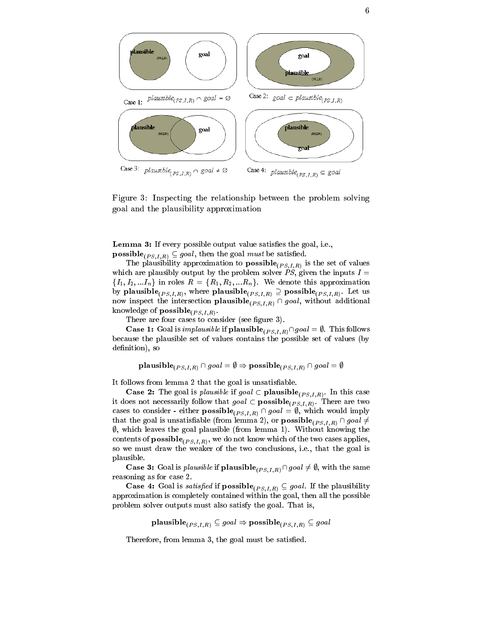

Figure 3: Inspecting the relationship between the problem solving goal and the plausibility approximation

**Lemma 3:** If every possible output value satisfies the goal, i.e.,  $\mathbf{possi}$  ,  $p_{S,I,R}\subseteq goal,$  then the goal  $must$  be satisfied.

The plausibility approximation to possible  $(P|S, I, R)$  is the set of values of values which are plausibly output by the problem solver  $PS$ , given the inputs  $I =$  $\{I_1, I_2, ... I_n\}$  in roles  $R = \{R_1, R_2, ... R_n\}$ . We denote this approximation by plausible $\left(PS,I,R\right)$ , where plausible $\left(PS,I,R\right)$   $\supseteq$  possible $\left(PS,I,R\right)$ . Let us now inspect the intersection **plausible** $_{(PS,I,R)}$   $\sqcup$  *goat*, without additional o possible possible possible possibility of possibility of possibility of the set of possibility of the set of  $\mathbf{F}$ en en de la comunicación de la comunicación de la comunicación de la comunicación de la comunicación de la com

There are four cases to consider see and  $\mathbf{r}$ 

**Case 1:** Goal is *implausible* if **plausible** $\left(PS,I,R\right)$  [goal  $= \emptyset$ . This follows because the plausible set of values contains the possible set of values (by as a social contract of the contract of the social contract of the social contract of the social contract of the  $\mathcal{R}_{R_1} \cap \mathit{goal} = \emptyset \Rightarrow \mathbf{possible}_{(PS,I,R)}$ 

$$
\mathbf{plausible}_{(PS,I,R)} \cap goal = \emptyset \Rightarrow \mathbf{possible}_{(PS,I,R)} \cap goal = \emptyset
$$

It follows from lemma 2 that the goal is unsatisfiable.

**Case 2:** The goal is *plausible* if  $goal \subseteq \textbf{plaussian}(p_{S,I,R})$ . In this case it does not necessarily follow that  $goal \subset \textbf{possible}_{(PS,I,R)}$ . There are two cases to consider - either  $\mathbf{possine}_{(PS,I,R)} \sqcup goal = \emptyset$ , which would imply that the goal is unsatisfiable (from lemma 2), or  $\mathbf{possible}_{(PS,I,R)} \sqcup goal \neq \emptyset$  which leaves the goal plausible from lemma Without knowing the content of possible  $(P\otimes H, R)$  , we do not know which of the two cases applies  $\mathbf{r}_1$ so we must draw the weaker of the two conclusions, i.e., that the goal is plausible

**Case 3:** Goal is *plausible* if **plausible** $\{PS,I,R\}$  | | *goal*  $\neq \emptyset$ , with the same reasoning as for case

**Case 4:** Goal is *satisfied* if  $\mathbf{possince}_{(PS,I,R)} \subseteq goal$ . If the plausibility approximation is completely contained within the goal, then all the possible problem solver outputs must also satisfy the goal That is

 $p$ lausible $\left(PS,I,R\right) \subseteq goal \Rightarrow possible_{\left(PS,I,R\right)} \subseteq goal$ 

Therefore, from lemma 3, the goal must be satisfied.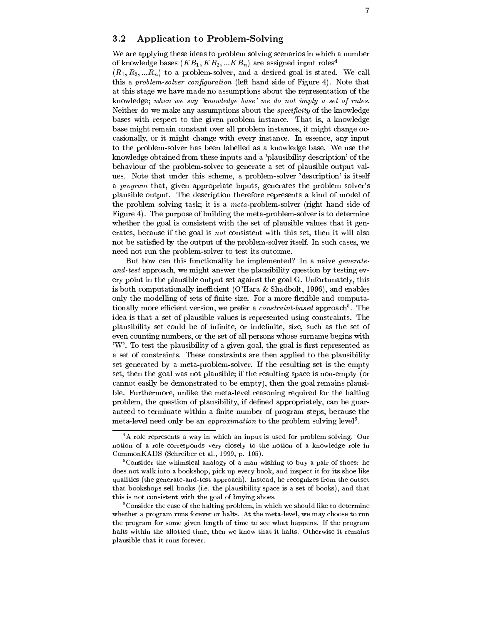# 3.2 Application to Problem-Solving

We are applying these ideas to problem solving scenarios in which a number of knowledge bases  $(\mathbf{A} \mathbf{D}_1, \mathbf{A} \mathbf{D}_2, \dots \mathbf{A} \mathbf{D}_n)$  are assigned input roles

 $(n_1, n_2, ... n_n)$  to a problem-solver, and a desired goal is stated. We call this a problems collect congregations in the side of Figure of Figure 1, which is the figure of  $\mathcal{S}$ at this stage we have made no assumptions about the representation of the knowledge; when we say 'knowledge base' we do not imply a set of rules. Neither do we make any assumptions about the *specificity* of the knowledge bases with respect to the given problem instance. That is, a knowledge base might remain constant over all problem instances, it might change occasionally, or it might change with every instance. In essence, any input to the problem did not have as a knowledge base when  $\mathcal{A}_1$  is the use the use  $\mathcal{A}_2$ knowledge obtained from these inputs and a 'plausibility description' of the behaviour of the problem-solver to generate a set of plausible output values solver than under that scheme a problems solver userspected at street a *program* that, given appropriate inputs, generates the problem solver's plausible output. The description therefore represents a kind of model of the problem solving task it is a metaproblem-solver right hand side of Figure The purpose of building the meta-problem-solver is to determine whether the goal is consistent with the set of plausible values that it generates, because if the goal is *not* consistent with this set, then it will also not be satised by the output of the problem-solver itself In such cases we need not run the problem-solver to test its outcome

But how can this functionality be implemented? In a naive generateand-test approach, we might answer the plausibility question by testing every point in the plausible output set against the goal G. Unfortunately, this is both computationally interesting of  $\mathcal{S}$  in the nables of  $\mathcal{S}$  in the nables of  $\mathcal{S}$ only the modelling of sets of finite size. For a more flexible and computationally more emiclent version, we prefer a *construmi-vased* approach . The idea is that a set of plausible values is represented using constraints The plausibility set could be of infinite, or indefinite, size, such as the set of even counting numbers, or the set of all persons whose surname begins with  $W'$ . To test the plausibility of a given goal, the goal is first represented as a set of constraints These constraints are then applied to the plausibility set generated by a meta-problem-solver If the resulting set is the empty set then the goal was not plausible if the resulting space is non-empty or cannot easily be demonstrated to be empty the goal remains planet in the goal remains planet in the goal remains planet in the goal remains planet in the goal remains planet in the goal remains planet in the goal remains p ble Furthermore unlike the meta-level reasoning required for the halting problem, the question of plausibility, if defined appropriately, can be guaranteed to terminate within a finite number of program steps, because the  $m$ eta-level need only be an *approximation* to the problem solving level.

 $4A$  role represents a way in which an input is used for problem solving. Our notion of a role corresponds very closely to the notion of a knowledge role in common common common common common common common common common common common common common common common commo

<sup>&</sup>lt;sup>5</sup>Consider the whimsical analogy of a man wishing to buy a pair of shoes: he and into and into a book-left pick up the shop-and inspect it for its showqualities the generate and the opposite  $\mu$  and the outset appearance from the outset that bookshops sell books, i.e. the planet in the place is a set of booksthis is not consistent with the goal of buying shoes

Uonsider the case of the halting problem, in which we should like to determine  $\sim$ whether a program runs for the metalevel-the metalevel-the metal, we may choose to runs the program for some given length of time to see what happens If the program halts with the allotted time-then we know that it halts Otherwise it halts Otherwise it halts Otherwise it remains plausible that it runs forever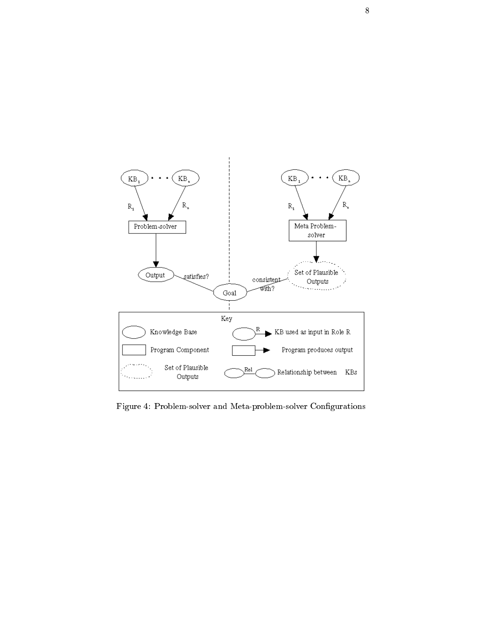

Figure 4: Problem-solver and Meta-problem-solver Configurations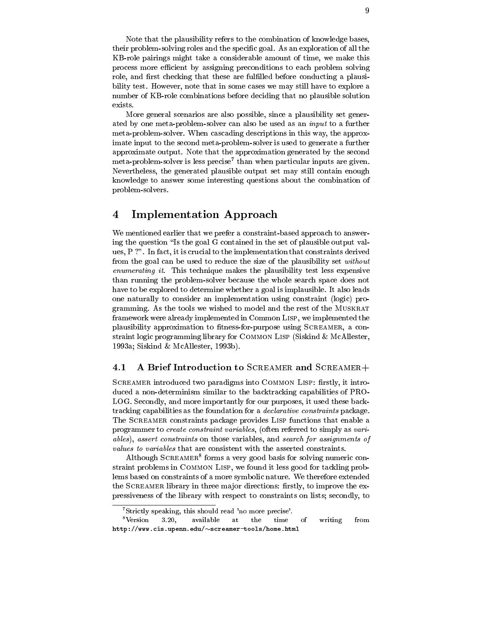Note that the plausibility refers to the combination of knowledge bases their problems and the species and the species  $A$ s and the species and the species  $\cdots$ KB-role pairings might take a considerable amount of time we make this process more efficient by assigning preconditions to each problem solving role, and first checking that these are fulfilled before conducting a plausibility test. However, note that in some cases we may still have to explore a number of KB-role combinations before deciding that no plausible solution exists

More general scenarios are also possible, since a plausibility set generated by one meta-problem-solver can also be used as an input to a further meta-problem-solver When cascading descriptions in this way the approximate input to the second meta-problem-solver is used to generate a further approximate output. Note that the approximation generated by the second meta-problem-solver is less precise` than when particular inputs are given. Nevertheless, the generated plausible output set may still contain enough knowledge to answer some interesting questions about the combination of problem-between the control of the control of the control of the control of the control of the control of the control of the control of the control of the control of the control of the control of the control of the control

# 4 Implementation Approach

We mentioned earlier that we prefer a constraint-based approach to answering the question "Is the goal G contained in the set of plausible output values,  $P$  ?". In fact, it is crucial to the implementation that constraints derived from the goal can be used to reduce the size of the plausibility set without  $enumerating$  it. This technique makes the plausibility test less expensive than running the problem-solver search shows the whole space does not have to be explored to determine whether a goal is implausible. It also leads one naturally to consider an implementation using constraint logic programming. As the tools we wished to model and the rest of the MUSKRAT framework were already implemented in Common LISP, we implemented the purpose and province to the state of purpose using screamer a constraint logic programming library for COMMON LISP (Siskind  $\&$  McAllester, a Siskind McAllester by the siskind between  $\mathbf{N}$ 

# 4.1 A Brief Introduction to SCREAMER and SCREAMER+

SCREAMER introduced two paradigms into COMMON LISP: firstly, it introduced a non-determinism similar to the backtracking capabilities of PRO-LOG. Secondly, and more importantly for our purposes, it used these backtracking capabilities as the foundation for a *declarative constraints* package. The SCREAMER constraints package provides LISP functions that enable a programmer to *create constraint variables*, (often referred to simply as *vari*ables, assert constraints on those variables and search for assignments of values to variables that are consistent with the asserted constraints.

Although Screamer forms a very good basis for solving numeric constraint problems in COMMON LISP, we found it less good for tackling problems based on constraints of a more symbolic nature. We therefore extended the SCREAMER library in three major directions: firstly, to improve the expressiveness of the library with respect to constraints on lists; secondly, to

<sup>&</sup>quot;Strictly speaking, this should read 'no more precise'.

 $8$  Version  $3.20$ , available at the time of writing from http-wwwcisupenneduscreamertoolshomehtml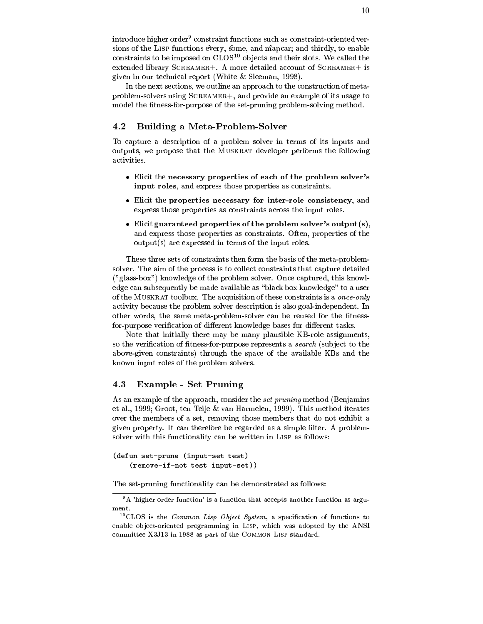introduce higher order constraint functions such as constraint-oriented versions of the LISP functions every, some, and mapcar; and thirdly, to enable constraints to be imposed on  $CLOS<sup>10</sup>$  objects and their slots. We called the extended library  $S$ CREAMER+. A more detailed account of  $S$ CREAMER+ is given in our technical report (White  $&$  Sleeman, 1998).

In the next sections, we outline an approach to the construction of metaproblem-solvers and provide and provide and provide and example of its usage to model the tness-for-purpose of the set-pruning problem-solving method

# 4.2 Building a Meta-Problem-Solver

To capture a description of a problem solver in terms of its inputs and outputs, we propose that the MUSKRAT developer performs the following activities

- $\bullet$  -micit the necessary properties of each of the problem solver's input roles, and express those properties as constraints.
- $\bullet$  -micit the properties necessary for inter-role consistency, and express those properties as constraints across the input roles
- $\bullet$  -micit guaranteed properties of the problem solver's output(s),  $\bullet$ and express those properties as constraints. Often, properties of the output, and input roles are the index of the input roles.

These three sets of constraints three sets of the meta- problem-  $\mathbb{R}^n$ solver. The aim of the process is to collect constraints that capture detailed glass-box knowledge of the problem solver Once captured this knowledge can subsequently be made available as "black box knowledge" to a user of the MUSKRAT toolbox. The acquisition of these constraints is a *once-only* activity because the problem solver description is also goal-independent In other words the same meta-problem-solver can be reused for the tnessfor-purpose verication of dierent knowledge bases for dierent tasks

 $N$  -role assignments that initially there may be may be matter that in the many plane  $K$ so the verication of tness-for-purpose represents a search sub ject to the above-the space constraints in the space of the space of the space of the space  $\mathcal{A}$ known input roles of the problem solvers

# 4.3 Example - Set Pruning

As an example of the approach, consider the set pruning method (Benjamins et al Groot ten Teije van Harmelen This method iterates over the members of a set, removing those members that do not exhibit a given property. It can therefore be regarded as a simple filter. A problemsolver with this functionality can be written in LISP as follows:

```
definition and the property in the set of the set of the set of the set of the set of the set of the set of th
       remove-
if-
not test input-
set
```
The set-pruning functionality can be demonstrated as follows

<sup>&</sup>lt;sup>9</sup>A 'higher order function' is a function that accepts another function as argument.

 $\lnot$  CLOS is the *Common Lisp Object System*, a specification of functions to enable object the interesting in List of the Was adopted by the ANSIS Contract of the ANSIS Contract of the AN committee X3J13 in 1988 as part of the COMMON LISP standard.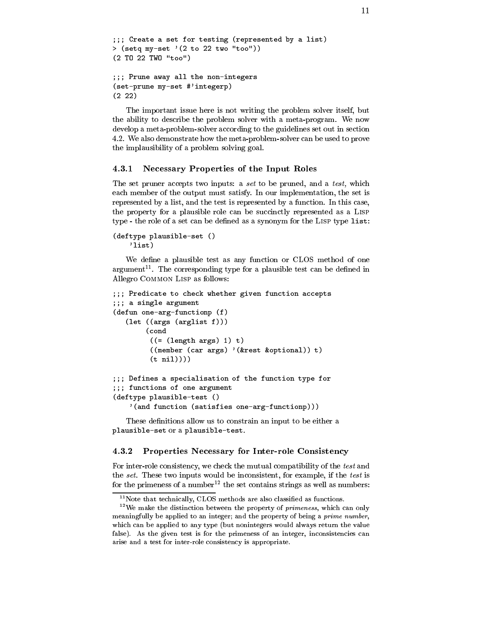```
;;; Create a set for testing (represented by a list)
s = \frac{1}{2} and the total method to the set of \frac{1}{2}(2 T0 22 TW0 "too") Prune away all the non-
integers
set-
prune my-
set 	integerp
```
 $(2 22)$ 

The important issue here is not writing the problem solver itself, but the ability to describe the problem solver with a meta-program We now according a meta-cording to the solver according to the guidelines set out in sections. solver and the metal behavior that the metal problem-the metal to prove the metal to prove the implausibility of a problem solving goal

#### 4.3.1 Necessary Properties of the Input Roles

The set pruner accepts two inputs: a set to be pruned, and a test, which each member of the output must satisfy. In our implementation, the set is represented by a list, and the test is represented by a function. In this case, the property for a plausible role can be succinctly represented as a Lisp type - the role of a set can be dened as a synonym for the Lisp type list

```
definition of the plane and the planet of the contract of the set of the set of the set of the set of the set of the set of the set of the set of the set of the set of the set of the set of the set of the set of the set of
                      'list)
```
listen og starte og starte og starte og starte og starte og starte og starte og starte og starte og starte og

We define a plausible test as any function or CLOS method of one argument The corresponding type for a plausible test can be dened in Allegro Common Lisp as follows

```
;;; Predicate to check whether given function accepts
;;; a single argument
defunction function and function function and arguments of the contract of the contract of the contract of the contract of the contract of the contract of the contract of the contract of the contract of the contract of the
       (\text{let } ((args (arglist f)))cond
                       \lambdalength argument argument argument argument argument argument argument argument argument argument argument argument argument argument argument argument argument argument argument argument argument argument argument arg
                      ((\text{member } (car args) \lor (\& \text{rest } \& \text{optional}))) t)(t \text{ nil})));;; Defines a specialisation of the function type for
;;; functions of one argument
deftype plant in the plant of the plant of the plant of the plant of the plant of the plant of the plant of the
```
These definitions allow us to constrain an input to be either a planusible-set or a plausible-set or a planusible-set or a planusible-set or a planusible-set of the set of th

#### 4.3.2 Properties Necessary for Inter-role Consistency

For inter-role consistency we check the mutual compatibility of the test and the set. These two inputs would be inconsistent, for example, if the test is for the primeness of a number-- the set contains strings as well as numbers:

and function satisfies one-function-function-function-function-function-function-function-function-function-function-function-function-function-function-function-function-function-function-function-function-function-functi

 $\lceil$  - Note that technically, CLOS methods are also classified as functions.

<sup>-</sup> We make the distinction between the property of *primeness*, which can only meaningfully be applied to an integer; and the property of being a prime number, which can be applied to any type (but nonintegers would always return the value false As the given test is for the primeness of an integer- inconsistencies can arise and a test for inter-role consistency is appropriate.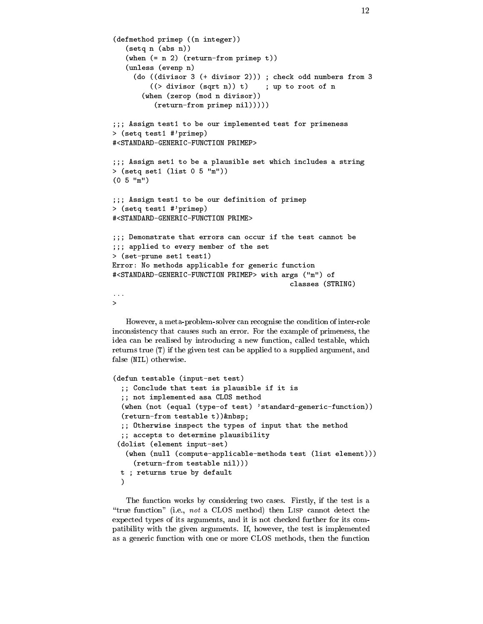```
(defmethod prime p (n integer))(setq n (abs n))\lambda and \lambda is the prime property that \lambda(unless (evenp n)
     (do ((divisor 3 (+ divisor 2))) ; check odd numbers from 3
          ((\text{divisor} (sqrt n)) t) ; up to root of n
       (when (zerop (mod n divisor))
           return-
from primep nil
;;; Assign test1 to be our implemented test for primeness
> (setq test1 #'primep)
;;; Assign set1 to be a plausible set which includes a string
> (setq set1 (list 0 5 "m"))
(0 5 "m");;; Assign test1 to be our definition of primep
> (setq test1 #'primep)
;;; Demonstrate that errors can occur if the test cannot be
;;; applied to every member of the set
set-beneficient set teste teste teste teste teste teste teste teste teste teste teste teste teste teste teste
Error: No methods applicable for generic function
	STANDARD-
GENERIC-
FUNCTION PRIMEP with args m of
                                                classes (STRING)
\sim \sim \sim\mathbf{v}
```
However a meta-problem-solver can recognise the condition of inter-role inconsistency that causes such an error. For the example of primeness, the idea can be realised by introducing a new function, called testable, which returns true T if the given test can be applied to a supplied argument and false NILLE NILLE NILLE NILLE NILLE NILLE NILLE NILLE NILLE NILLE NILLE NILLE NILLE NILLE NILLE NILLE NILLE NI

```
definition to the set test test for the set of the set of the set of the set of the set of the set of the set of the set of the set of the set of the set of the set of the set of the set of the set of the set of the set of
     Conclude that test is plausible if it is
    ;; not implemented asa CLOS method
    when \mathcal{N} type-function \mathcal{N} and \mathcal{N} and \mathcal{N} and \mathcal{N} and \mathcal{N} and \mathcal{N} and \mathcal{N} and \mathcal{N} and \mathcal{N} and \mathcal{N} and \mathcal{N} and \mathcal{N} and \mathcal{N} and \mathcal{N} and \mathcal{N} an
    return-
from testable tnbsp
   ;; Otherwise inspect the types of input that the method
    ;; accepts to determine plausibility
  dolist element in put-set and set and set and set and set and set and set and set and set and set and set and
      when \sum_{i=1}^n\alpha_i is equipment in the computer of the computer \sum_{i=1}^n\alpha_i is the contract of the contract of the contract of the contract of the contract of the contract of the contract of the contract of the contrac
           return-
from testable nil
   t ; returns true by default
   \rightarrow
```
The function works by considering two cases. Firstly, if the test is a true function is not a CLOS method in a CLOS cannot detect the cannot detect the canonical theory of the control of the control of the control of the control of the control of the control of the control of the control of t expected types of its arguments, and it is not checked further for its compatibility with the given arguments. If, however, the test is implemented as a generic function with one or more CLOS methods then the function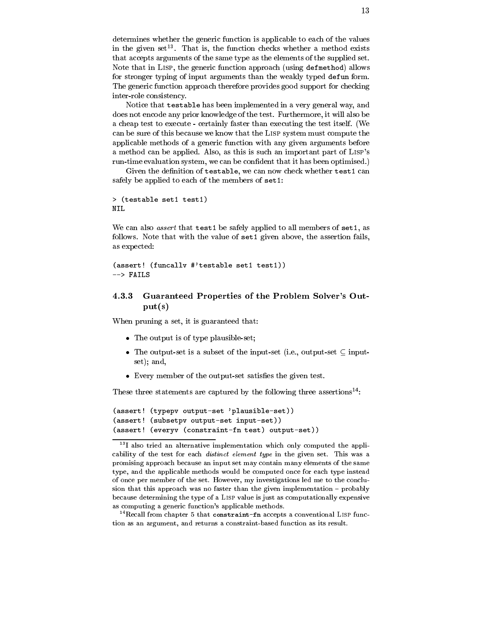determines whether the generic function is applicable to each of the values in the given set That is the function checks whether a method exists that accepts arguments of the same type as the elements of the supplied set Note that in Lisp the generic function approach using defmethod allows for stronger typing of input arguments than the weakly typed defun form The generic function approach therefore provides good support for checking inter-role consistency

Notice that testable has been implemented in a very general way, and does not encode any prior knowledge of the test. Furthermore, it will also be a cheap test to executing the test to executing the test in the test in the test in the test in the test in th can be sure of this because we know that the Lisp system must compute the applicable methods of a generic function with any given arguments before a method can be applied. Also, as this is such an important part of LISP's run-time evaluation system we can be condent that it has been optimised

Given the definition of testable, we can now check whether test1 can safely be applied to each of the members of set1:

```
> (testable set1 test1)
NIL
```
We can also *assert* that test1 be safely applied to all members of set1, as follows. Note that with the value of  $set1$  given above, the assertion fails, as expected

```
(assert! (funcally * 'testable set1 test1))\leftarrow> FAILS
```
#### 4.3.3 Guaranteed Properties of the Problem Solver's Out $put(s)$

When pruning a set, it is guaranteed that:

- $\bullet$  Ine output is of type plausible-set;
- $\bullet$  lne output-set is a subset of the input-set (i.e., output-set  $\subset$  inputset and
- $\bullet\,$  every member of the output-set satisfies the given test.

These three statements are captured by the following three assertions<sup>14</sup>:

```
assert typepv output-
set plausible-
set
assert and the set in put-office output-output-
assert everyv constraint-
fn test output-
set
```
 $13$ I also tried an alternative implementation which only computed the applicability of the test for each distinct element type in the given set. This was a promising approach because an input set may contain many elements of the same type- and the applicable methods would be computed once for each type instead of once per member of the set However- my investigations led me to the conclu sion that this approach was no faster than the given implementation probably because determining the type of a Lisp value is just as computationally expensive as computing a generic function
s applicable methods

 $\lceil$  -Kecall from chapter  $\frak d$  that constraint-in accepts a conventional Lisp function as an argument- and returns a constraintbased function as its result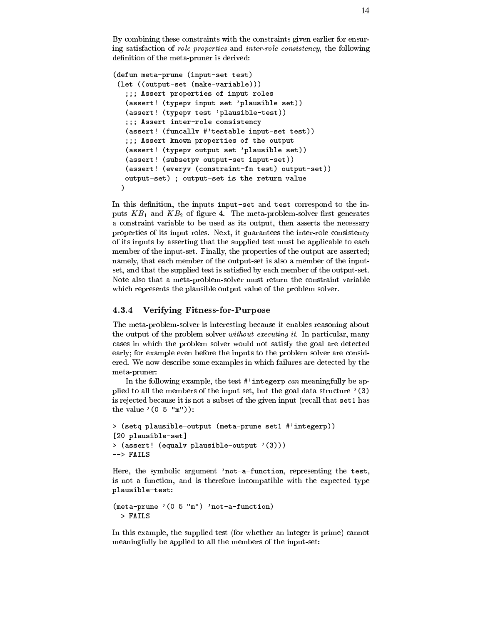By combining these constraints with the constraints given earlier for ensuring satisfaction of role properties and inter-role consistency, the following denition of the meta-pruner is derived

```
definition of the property of the property of the property of the property of the property of the property of the property of the property of the property of the property of the property of the property of the property of 
 variable output-set variable output-set output-
    ;;; Assert properties of input roles
    assert typep, input-independence in production in the set of \mathcal{S}assert typepv test plausible-
test
     Assert inter-
role consistency
    assert funcally assert funcally input-
    ;;; Assert known properties of the output
    assert typepv output-
set plausible-
set
    assert subsetpv output-
set input-
set
    assert event even test output-test output-test output-test output-test output-test output-test output-test out
    set is the return value of the return value of the return value of the return value of the return value of the
  \lambda
```
In this denition the inputs input-set and test correspond to the in $p$  and  $p$  and  $m = 2$  or meta-solver meta-solver solver meta-solver and  $p$ a constraint variable to be used as its output, then asserts the necessary properties of its input roles Next it guarantees the inter-role consistency of its inputs by asserting that the supplied test must be applicable to each member of the input-set Finally the properties of the output are asserted namely that each member of the output-set is also a member of the inputset and that the supplied test is satised by each member of the output-set Note also that a meta-problem-solver must return the constraint variable which represents the plausible output value of the problem solver.

### Verifying Fitness-for-Purpose

solver is interesting about the meta-colored because it enables reasoning about the colored about the colored the output of the problem solver *without executing it*. In particular, many cases in which the problem solver would not satisfy the goal are detected early; for example even before the inputs to the problem solver are considered. We now describe some examples in which failures are detected by the meta-pruner

In the following example, the test  $\#$ 'integerp can meaningfully be applied to all the members of the input set, but the goal data structure  $(3)$ is rejected because it is not a subset of the given input (recall that set1 has the value  $'$  (0 5 "m")):

```
 setq plausible-
output meta-
prune set 	integerp
planet in the set of the set of the set of the set of the set of the set of the set of the set of the set of t
assert et al. of the contract plant of the contract of the contract of the contract of the contract of the con
```
Here the symbolic argument not-a-function representing the test is not a function, and is therefore incompatible with the expected type plausible-test

```
meta-
prune   m not-
a-
function
```
In this example the supplied test for whether an integer is prime cannot meaningfully be applied to all the members of the input-set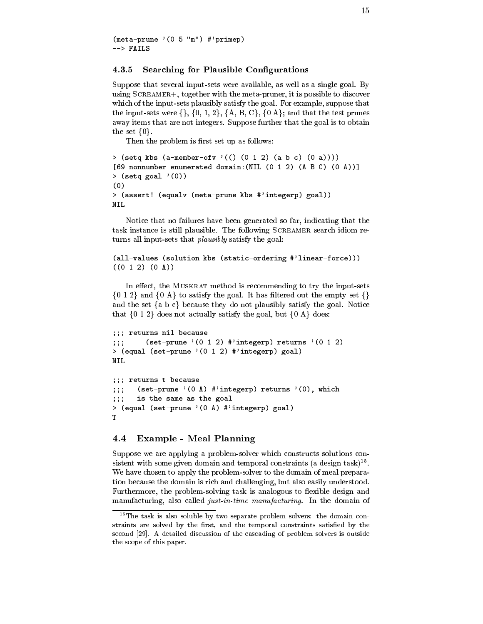```
meta-produced and produced and produced and produced and produced and produced and produced and produced and p
```
#### 4.3.5 Searching for Plausible Configurations

Suppose that several input-sets were available as well as a single goal By produced a contract to discover with the meta-theory it is possible to discover the metawhich is the input-sets planned  $j$  the suppose that  $\alpha$  is the goal  $\alpha$  plane that  $\alpha$ the input-sets were  $\{\}$ ,  $\{0, 1, 2\}$ ,  $\{A, D, C\}$ ,  $\{0, A\}$ ; and that the test prunes away items that are not integers Suppose further that the goal is to obtain the set  $\{0\}$ .

Then the problem is first set up as follows:

```
set are an architecture and are an architecture and architecture and architecture and architecture and architect
nonnumber en annoncmum ber en annoncmum ber en annoncmum ber en annoncmum ber en annoncmum ber en annoncmum be
> (setq goal '(0))
(0)
assert equal prime form and all metals \rhoNIL
```
Notice that no failures have been generated so far, indicating that the task instance is still plausible. The following SCREAMER search idiom returns all input-satisfy that planets are satisfy the goal of the goal of the goal of the goal of the goal of th

```
all-cordering solution kbs static-solution kbs static-solution \mathcal{U}(\mathcal{U})((0 1 2) (0 A))
```
In eect the Muskrat method is recommending to try the input-sets  $\{0, 1, 2\}$  and  $\{0, A\}$  to satisfy the goal. It has filtered out the empty set  $\{\}$ and the set  $\{a\;b\;c\}$  because they do not plausibly satisfy the goal. Notice that  $\{0, 1, 2\}$  does not actually satisfy the goal, but  $\{0, A\}$  does:

```
;;; returns nil because
set-below the process of the set-below of the process of the process of the process of the process of the process of the process of the process of the process of the process of the process of the process of the process of 
external set-communications and the property goals of the property of the property of the property of the property of the property of the property of the property of the property of the property of the property of the prop
NTT.
```

```
;;; returns t because
 set-
prune  A 	integerp returns  which
;;; is the same as the goal
external set-component and the property goal of the property goal of the property of the property of the property of the property of the property of the property of the property of the property of the property of the prope
T
```
# 4.4 Example - Meal Planning

Suppose we are applying a problem-solver which constructs solutions consistent with some given domain and temporal constraints (a design task)--. we have chosen to apply the problem-domain of meal problem- preparation because the domain is rich and challenging, but also easily understood. Furthermore the problem-solving task is analogous to exible design and manufacturing, also called *just-in-time manufacturing*. In the domain of

<sup>&</sup>lt;sup>15</sup>The task is also soluble by two separate problem solvers: the domain constraints are solved by the rst- and the temporal constraints satised by the second [29]. A detailed discussion of the cascading of problem solvers is outside the scope of this paper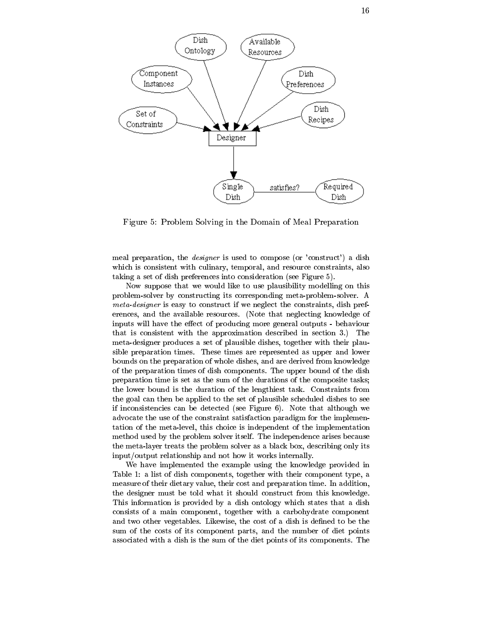![](_page_18_Figure_0.jpeg)

Figure 5: Problem Solving in the Domain of Meal Preparation

meal preparation the designer is used to compose or construct a dish which is consistent with culinary, temporal, and resource constraints, also taking a set of dish preferences into consideration (see Figure 5).

Now suppose that we would like to use plausibility modelling on this problem-solver by constructing its corresponding meta-problem-solver A meta-designer is easy to construct if we neglect the constraints, dish preferences, and the available resources. (Note that neglecting knowledge of inputs will have the eect of producing more general outputs - behaviour that is consistent with the approximation described in section () can meta-designer produces a set of plausible dishes together with their plausible preparation times. These times are represented as upper and lower bounds on the preparation of whole dishes and are derived from knowledge of the preparation times of dish components The upper bound of the dish preparation time is set as the sum of the durations of the composite tasks the lower bound is the duration of the lengthiest task. Constraints from the goal can then be applied to the set of plausible scheduled dishes to see if inconsistencies can be detected see Figure " Note that although we advocate the use of the constraint satisfaction paradigm for the implementation of the meta-level this choice is independent of the implementation method used by the problem solver itself. The independence arises because the metal injurity treats the problem solver as a black box describing only its input/output relationship and not how it works internally.

We have implemented the example using the knowledge provided in Table 1: a list of dish components, together with their component type, a measure of their dietary value, their cost and preparation time. In addition, the designer must be told what it should construct from this knowledge This information is provided by <sup>a</sup> dish ontology which states that <sup>a</sup> dish consists of a main component, together with a carbohydrate component and two other vegetables. Likewise, the cost of a dish is defined to be the sum of the costs of its component parts, and the number of diet points associated with a dish is the sum of the diet points of its components The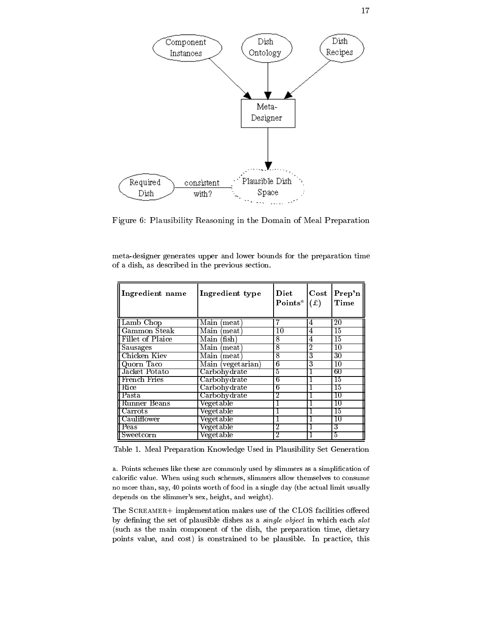![](_page_19_Figure_0.jpeg)

Figure 6: Plausibility Reasoning in the Domain of Meal Preparation

|                                                  | meta-designer generates upper and lower bounds for the preparation time |
|--------------------------------------------------|-------------------------------------------------------------------------|
| of a dish, as described in the previous section. |                                                                         |

| Ingredient name  | Ingredient type                    | Diet<br>Points <sup><math>a</math></sup> | (f)            | $ Cost $ Prep'n<br>Time |
|------------------|------------------------------------|------------------------------------------|----------------|-------------------------|
| Lamb Chop        | Main (<br>$'m$ eat                 | 7                                        | 4              | 20                      |
| Gammon Steak     | Main (<br>$\scriptstyle\rm [meat)$ | 10                                       | 4              | 15                      |
| Fillet of Plaice | Main (fish)                        | 8                                        | 4              | 15                      |
| Sausages         | Main (<br>meat)                    | 8                                        | $\overline{2}$ | 10                      |
| Chicken Kiev     | Main (<br>$\scriptstyle\rm [meat)$ | 8                                        | 3              | 30                      |
| Quorn Taco       | Main (vegetarian)                  | 6                                        | 3              | 10                      |
| Jacket Potato    | Carbohydrate                       | 5                                        |                | 60                      |
| French Fries     | Carbohydrate                       | 6                                        |                | 15                      |
| Rice             | Carbohydrate                       | 6                                        |                | 15                      |
| Pasta            | Carbohydrate                       | 2                                        |                | 10                      |
| Runner Beans     | Vegetable                          |                                          |                | 10                      |
| Carrots          | Vegetable                          |                                          |                | 15                      |
| Cauliflower      | Vegetable                          |                                          |                | 10                      |
| Peas             | Vegetable                          | 2                                        |                | 3                       |
| Sweetcorn        | Vegetable                          | 2                                        |                | 5                       |

Table 1. Meal Preparation Knowledge Used in Plausibility Set Generation

a. Points schemes like these are commonly used by slimmers as a simplification of caloric value When using such schemes- slimmers allow themselves to consume no more than-in-book in a single day than-in-book in a single day than-in-book in a single day the actual limit are sex-car sex-and weight-state of the slight-state of the state of the state of the state of the state of th

The SCREAMER+ implementation makes use of the CLOS facilities offered by defining the set of plausible dishes as a *single object* in which each slot (such as the main component of the dish, the preparation time, dietary points value and cost is constrained to be plausible In practice this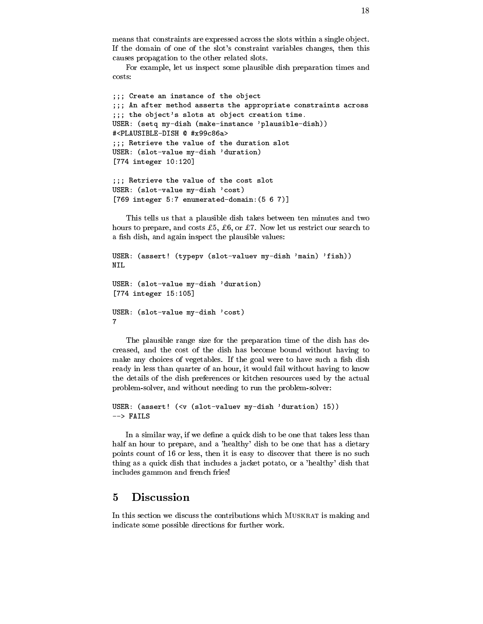means that constraints are expressed across the slots within a single object. If the domain of one of the slot's constraint variables changes, then this causes propagation to the other related slots

For example, let us inspect some plausible dish preparation times and costs

```
;;; Create an instance of the object
;;; An after method asserts the appropriate constraints across
t;;; the object's slots at object creation time.
USER setq my-
dish make-
instance plausible-
dish
;;; Retrieve the value of the duration slot
value (2000) and dish duration and dish duration of the state of the state of the state of the state of the st
[774 integer 10:120];;; Retrieve the value of the cost slot
value my-dish costs and costs are all the costs of the costs of the costs of the costs of the costs of the cos
```
This tells us that a plausible dish takes between ten minutes and two hours to prepare, and costs £5, £6, or £7. Now let us restrict our search to a fish dish, and again inspect the plausible values:

integer enumerated-domain

```
valuev slot-strategies and fish my-sert types are also assert that the strategies of the strategies of the str
NIL
USER slot-
value my-
dish duration
[774 integer 15:105]USER slot-
value my-
dish cost
\overline{7}
```
The plausible range size for the preparation time of the dish has decreased, and the cost of the dish has become bound without having to make any choices of vegetables. If the goal were to have such a fish dish ready in less than quarter of an hour, it would fail without having to know the details of the dish preferences or kitchen resources used by the actual problem-solver and without needing to run the problem-solver

```
USER assert v slot-
valuev my-
dish duration
```
In a similar way, if we define a quick dish to be one that takes less than half an hour to prepare, and a 'healthy' dish to be one that has a dietary points count of 16 or less, then it is easy to discover that there is no such thing as a quick dish that includes a jacket potato, or a 'healthy' dish that includes gammon and french fries!

# 5

In this section we discuss the contributions which MUSKRAT is making and indicate some possible directions for further work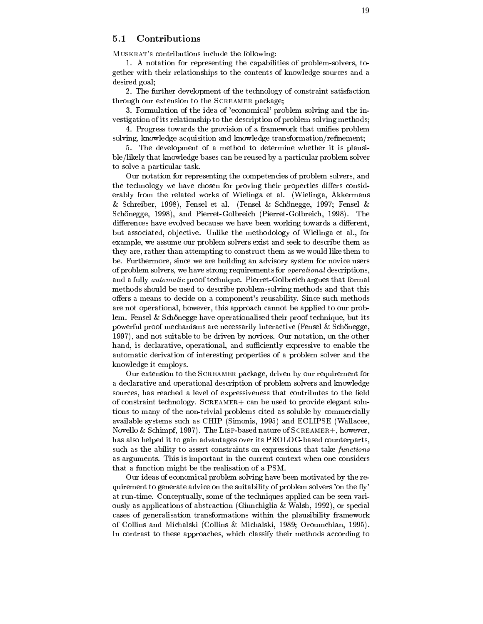#### $5.1$ Contributions

MUSKRAT's contributions include the following:

 A notation for representing the capabilities of problem-solvers together with their relationships to the contents of knowledge sources and a desired goal

 The further development of the technology of constraint satisfaction through our extension to the SCREAMER package;

3. Formulation of the idea of 'economical' problem solving and the investigation of its relationship to the description of problem solving methods

4. Progress towards the provision of a framework that unifies problem solving, knowledge acquisition and knowledge transformation/refinement;

 The development of a method to determine whether it is plausible/likely that knowledge bases can be reused by a particular problem solver to solve a particular task

Our notation for representing the competencies of problem solvers, and the technology we have chosen for proving their properties differs considerably from the related works of Wielinga et al. (Wielinga, Akkermans Schreiber Fensel et al Fensel Schonegge Fensel Schonegge and Pierret-Golbreich Pierret-Golbreich The differences have evolved because we have been working towards a different, but associated, objective. Unlike the methodology of Wielinga et al., for example, we assume our problem solvers exist and seek to describe them as they are, rather than attempting to construct them as we would like them to be. Furthermore, since we are building an advisory system for novice users of problem solvers, we have strong requirements for *operational* descriptions, and a fully automatic proof technique Pierret-Golbreich argues that formal methods should be used to describe problem-solving methods and that this offers a means to decide on a component's reusability. Since such methods are not operational, however, this approach cannot be applied to our problem. Fensel & Schönegge have operationalised their proof technique, but its powerful proof mechanisms are necessarily interactive (Fensel & Schönegge, and  $\alpha$  is a suitable to be driven by notation  $\alpha$  . We not the other order that  $\alpha$ hand, is declarative, operational, and sufficiently expressive to enable the automatic derivation of interesting properties of a problem solver and the knowledge it employs

Our extension to the Screamer package driven by our requirement for a declarative and operational description of problem solvers and knowledge sources, has reached a level of expressiveness that contributes to the field of constraint technology. SCREAMER+ can be used to provide elegant solutions to many of the non-trivial problems cited as soluble by commercially available systems such as CHIP Simonis and ECLIPSE Wallacee novello i la constantia de la constantia de la constantia de la constantia de la constantia de la constantia d has also helped it to gain advantages over its PROLOG-based counterparts such as the ability to assert constraints on expressions that take *functions* as arguments. This is important in the current context when one considers that a function might be the realisation of a PSM

Our ideas of economical problem solving have been motivated by the requirement to generate advice on the suitability of problem solvers 'on the fly' at run-time Conceptually some of the techniques applied can be seen variously as applications of abstraction Giunchiglia Walsh or special cases of generalisation transformations within the plausibility framework of Collins and Michalski Collins Michalski Oroumchian In contrast to these approaches, which classify their methods according to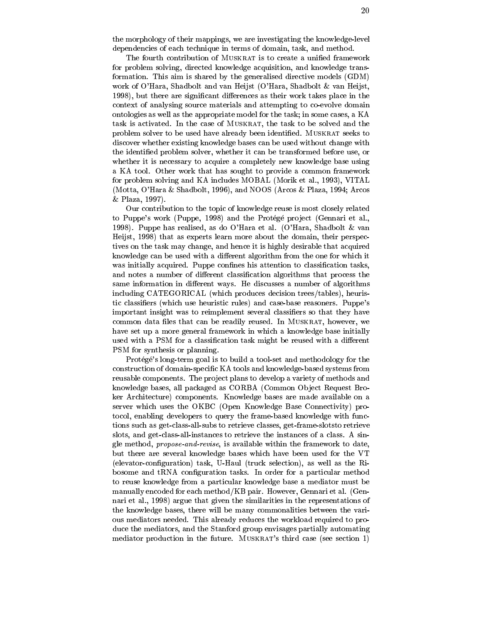the morphology of their mappings we are investigating the knowledge-level dependencies of each technique in terms of domain, task, and method.

The fourth contribution of MUSKRAT is to create a unified framework for problem solving, directed knowledge acquisition, and knowledge transformation. This aim is shared by the generalised directive models  $(GDM)$ work of O'Hara, Shadbolt and van Heijst (O'Hara, Shadbolt & van Heijst, but the significant different different different canter work the significant canter in the significant in the context of analysing source materials and attempting to co-evolve domain ontologies as well as the appropriate model for the task in some cases a KA task is activated. In the case of MUSKRAT, the task to be solved and the problem solver to be used have already been identified. MUSKRAT seeks to discover whether existing knowledge bases can be used without change with the identified problem solver, whether it can be transformed before use, or whether it is necessary to acquire a completely new knowledge base using a KA tool Other work that has sought to provide a common framework for problem solving and KA includes MOBAL Morik et al VITAL  $\mathcal{N}$  and  $\mathcal{N}$  and  $\mathcal{N}$  and  $\mathcal{N}$  are  $\mathcal{N}$  are  $\mathcal{N}$  and  $\mathcal{N}$  are  $\mathcal{N}$ & Plaza, 1997).

Our contribution to the topic of knowledge reuse is most closely related to Puppe work Puppe and the Puppe work Puppe of the Protection of the Protection of the Protection of the Prot Puppe has realised as do OHara et al OHara Shadbolt van height contry that as experts countries which the domain the domain the perspect tives on the task may change, and hence it is highly desirable that acquired knowledge can be used with a different algorithm from the one for which it was initially acquired. Puppe confines his attention to classification tasks, and notes a number of different classification algorithms that process the same information in different ways. He discusses a number of algorithms including CATEGORICAL which produces decision treestables heuristic classiers which use heuristic rules and case-base reasoners Puppes important insight was to reimplement several classiers so that they have common data files that can be readily reused. In MUSKRAT, however, we have set up a more general framework in which a knowledge base initially used with a PSM for a classification task might be reused with a different PSM for synthesis or planning

Prot#eg#es long-term goal is to build a tool-set and methodology for the construction of domain-specic KA tools and knowledge-based systems from reusable components. The project plans to develop a variety of methods and knowledge bases all packaged as CORBA Common Ob ject Request Broker architecture () components armitically components made available on a components are made a server which uses the OKBC Open Knowledge Base Connectivity protocol enabling developers to query the frame-based knowledge with functions such as get-class-all-subs to retrieve classes get-frame-slotsto retrieve slots and get-class-all-instances to retrieve the instances of a class A single method, propose-and-revise, is available within the framework to date, but there are several knowledge bases which have been used for the VT elevator-conguration task U-Haul truck selection as well as the Ribosome and tRNA configuration tasks. In order for a particular method to reuse knowledge from a particular knowledge base a mediator must be manually encoded for each method/ $KB$  pair. However, Gennari et al. (Gennari et al argue that given the similar that given the similar the similar the representations of the representations of the representations of the representations of the representations of the representations of the repre the knowledge bases, there will be many commonalities between the various mediators needed. This already reduces the workload required to produce the mediators, and the Stanford group envisages partially automating mediator production in the future. MUSKRAT's third case (see section 1)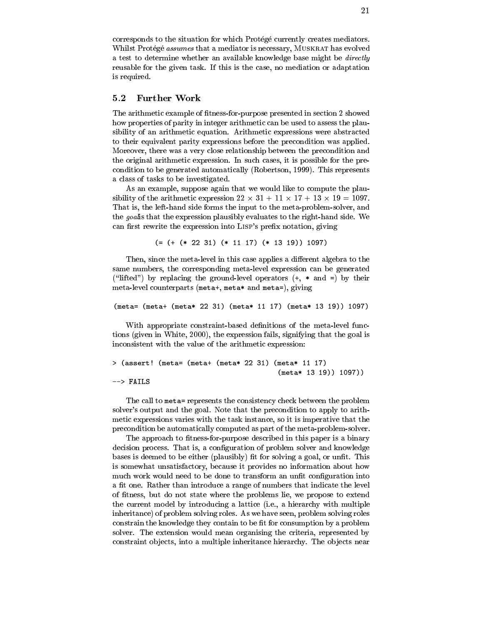corresponds to the situation for which Protégé currently creates mediators. Whilst Protégé assumes that a mediator is necessary, MUSKRAT has evolved a test to determine whether an available knowledge base might be directly reusable for the given task. If this is the case, no mediation or adaptation is required

#### $5.2$ Further Work

The arithmetic example of tness-for-purpose presented in section showed how properties of parity in integer arithmetic can be used to assess the plausibility of an arithmetic equation. Arithmetic expressions were abstracted to their equivalent parity expressions before the precondition was applied Moreover, there was a very close relationship between the precondition and the original arithmetic expression. In such cases, it is possible for the precondition to be generated and conditionally Robertson activities are copied and conditions a class of tasks to be investigated

As an example, suppose again that we would like to compute the plausibility of the arithmetic expression  $22 \times 31 + 11 \times 11 + 13 \times 19 = 1097$ . That is the left-hand side forms the input to the meta-problem-solver and the goalis that the expression plausibly evaluates to the right-hand side We can first rewrite the expression into LISP's prefix notation, giving

Then since the meta-level in this case applies a dierent algebra to the same numbers the corresponding meta-level expression can be generated lifted operators in the ground-and the state of the state of the state of the state of the state of the state o meta-level counterparts meta meta and meta giving

```
meta
 meta meta  
 meta   meta
```
With appropriate constraint-based denitions of the meta-level functions given in White that the goal is  $t$  and the goal is  $t$  and the goal is  $t$  and the goal is  $t$  and the goal is  $t$  and the goal is  $t$  and the goal is  $t$  and the goal is  $t$  and the goal is  $t$  and the goal is  $t$ inconsistent with the value of the arithmetic expression

```
assert meta meta meta se te meta se se s
                              (meta* 13 19)) 1097))
```
the call the constants the constants the constants the constants of the constants of the problem of the problem solver's output and the goal. Note that the precondition to apply to arithmetic expressions varies with the task instance, so it is imperative that the precondition be automatically computed as part of the meta-problem-solver

The approach to tness-for-purpose described in this paper is a binary decision process. That is, a configuration of problem solver and knowledge  $\alpha$  is definition to be either planetic  $\beta$  , and the either  $\alpha$  and  $\alpha$  are under the contract or under the contract of  $\alpha$ is somewhat unsatisfactory, because it provides no information about how much work would need to be done to transform an unfit configuration into a fit one. Rather than introduce a range of numbers that indicate the level of fitness, but do not state where the problems lie, we propose to extend the current model by introducing a lattice (i.e., a hierarchy with multiple inheritance of problem solving roles As we have seen problem solving roles constrain the knowledge they contain to be fit for consumption by a problem solver. The extension would mean organising the criteria, represented by constraint objects, into a multiple inheritance hierarchy. The objects near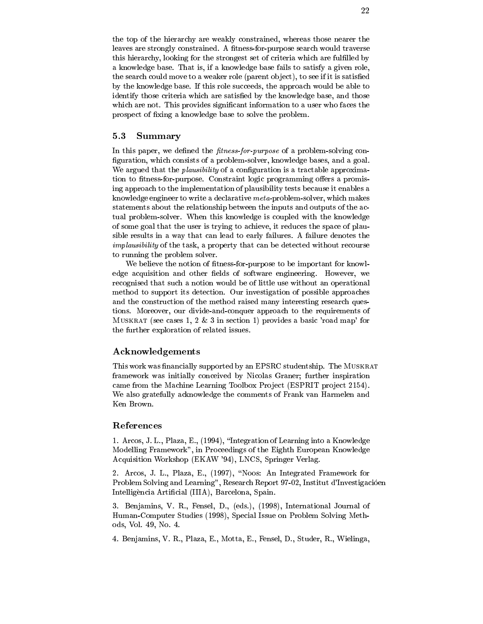the top of the hierarchy are weakly constrained, whereas those nearer the leaves are strongly constrained A tness-for-purpose search would traverse this hierarchy looking for the strongest set of criteria which are fullled by a knowledge base That is if a knowledge base fails to satisfy a given role the search could move to a weaker role parent objecting to see if it is satisfied to by the knowledge base. If this role succeeds, the approach would be able to identify those criteria which are satisfied by the knowledge base, and those which are not. This provides significant information to a user who faces the prospect of fixing a knowledge base to solve the problem.

#### $5.3$ Summary

In this paper we dened the tnessforpurpose of a problem-solving consolver which we are a consistent of a problem-base and a goal consists of a goal construction of the solve We argued that the *plausibility* of a configuration is a tractable approximation to tness-for-purpose Constraint logic programming oers a promising approach to the implementation of plausibility tests because it enables a knowledge engineer to write a declarative metaproblem-solver which makes statements about the relationship between the inputs and outputs of the actual problems this knowledge is coupled with the knowledge is coupled with the knowledge is coupled with the k of some goal that the user is trying to achieve it reduces the space of plausible results in a way that can lead to early failures. A failure denotes the implausibility of the task, a property that can be detected without recourse to running the problem solver

We believe the notion of tness-for-purpose to be important for knowledge acquisition and other fields of software engineering. However, we recognised that such a notion would be of little use without an operational method to support its detection. Our investigation of possible approaches and the construction of the method raised many interesting research questions activities for divided the requirements of the requirements of the requirements of a basic see cases in section and map for the section of the section of the section of the section of the section the further exploration of related issues

### Acknowledgements

This work was financially supported by an EPSRC studentship. The MUSKRAT framework was initially conceived by Nicolas Graner; further inspiration came from the Machine Learning Toolbox Pro ject ESPRIT pro ject We also gratefully acknowledge the comments of Frank van Harmelen and Ken Brown

### References

 $\mathcal{L}$  . Are constructed by Learning into a Learning into a Knowledge construction of  $\mathcal{L}$ Modelling Framework", in Proceedings of the Eighth European Knowledge Acquisition Workshop EKAW LNCS Springer Verlag

 Arcos J L Plaza E Noos An Integrated Framework for Problem Solving and Learning Research Report - Institut dInvestigaci#oen Intellig\$encia Articial IIIA Barcelona Spain

 Benjamins V R Fensel D eds International Journal of Human-Computer Studies Special Issue on Problem Solving Methods, Vol. 49, No. 4.

4. Benjamins, V. R., Plaza, E., Motta, E., Fensel, D., Studer, R., Wielinga,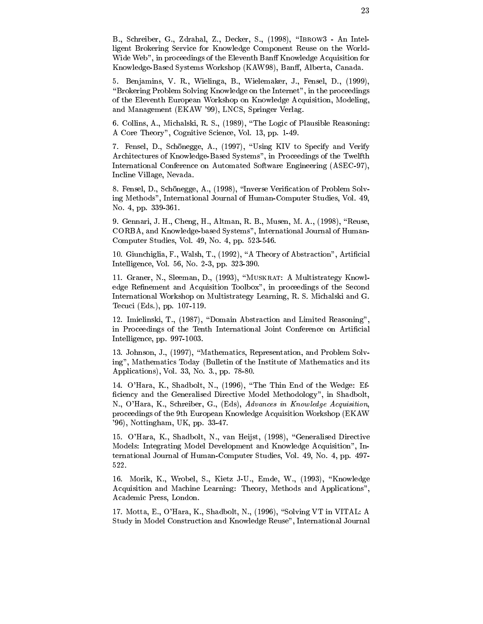an eventual will continue to a static function of the control of the control of the control of the control of t ligent Brokering Service for Knowledge Component Reuse on the World-Wide Web", in proceedings of the Eleventh Banff Knowledge Acquisition for ka alberta Systems Workshop (and wo ), when they would be a strong the system of the system of the system of the system of the system of the system of the system of the system of the system of the system of the system of t

 Benjamins V R Wielinga B Wielemaker J Fensel D "Brokering Problem Solving Knowledge on the Internet", in the proceedings of the Eleventh European Workshop on Knowledge Acquisition, Modeling, and Management Example Property and Management Property and Management Property and Management Property and Ma

" Collins A Michalski R S The Logic of Plausible Reasoning A Core Theory Cognitive Science Vol pp -

 Fensel D Schonegge A Using KIV to Specify and Verify Architectures of Knowledge-Based Systems in Proceedings of the Twelfth International Conference on Automated Software Engineering ASEC- Incline Village, Nevada.

 $\blacksquare$  . Inverse  $\blacksquare$  and  $\blacksquare$  and  $\blacksquare$ ing Methods International of Human-International of Human-International of Human-International organization of No pp -"

General General Machines Harrison Machines Machines Machines Machines Machines Machines Machines Machines Mac CORBA and Knowledge-based Systems International Journal of Humancomputer community in the state of the state of the state of the state of the state of the state of the state o

a Theory of Walsh T Walsh T Walsh T Walsh T Walsh T Walsh T Walsh T Walsh T Walsh T Walsh T Walsh T Walsh T Wa Intelligence Volkswagen and the Society of the Society of the United States of the United States of the United

 Graner N Sleeman D Muskrat A Multistrategy Knowledge Refinement and Acquisition Toolbox", in proceedings of the Second International Workshop on Multistrategy Learning, R. S. Michalski and G. Tecuci Eds pp -

Imielinski T and Limited Reasoning Reasoning Reasoning Reasoning Reasoning Reasoning Reasoning Reasoning Reason in Proceedings of the Tenth International Joint Conference on Artificial Intelligence pp -

athematics and and problem solve-sentent solve-sentent solve-sentence solve-sentence solve-sentence and  $\alpha$ ing", Mathematics Today (Bulletin of the Institute of Mathematics and its . The second contraction of the second contract of the second contract of the second contract of the second contract of the second contract of the second contract of the second contract of the second contract of the second

 OHara K Shadbolt N " The Thin End of the Wedge Efficiency and the Generalised Directive Model Methodology", in Shadbolt, N OHara K Schreiber G Eds Advances in Know ledge Acquisition proceedings of the 9th European Knowledge Acquisition Workshop (EKAW) " Nottingham UK pp -

 OHara K Shadbolt N van Heijst Generalised Directive Models: Integrating Model Development and Knowledge Acquisition", International Journal of Human-Studies Vol. 2019, Journal of Alexandre, Studies Vol. 2019 522.

" Morik K Wrobel S Kietz J-U Emde W Knowledge Acquisition and Machine Learning: Theory, Methods and Applications", Academic Press, London.

and the end of the contract of the contract of the contract  $\mathcal{A}$  in  $\mathcal{A}$  is the contract of the contract of Study in Model Construction and Knowledge Reuse", International Journal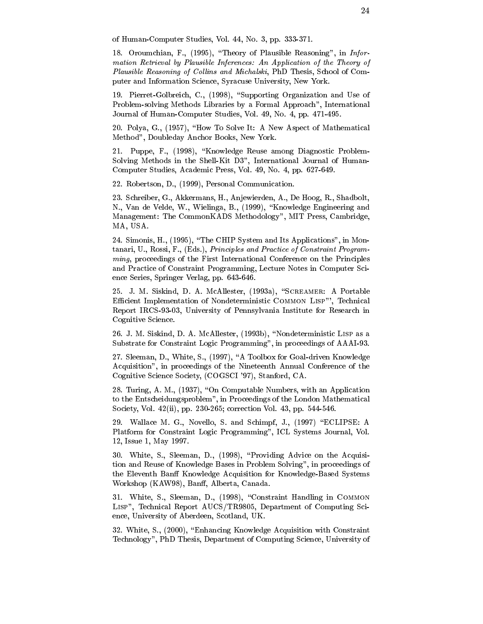of Human-Basic Studies Vol and the Studies Vol and the Studies Vol and the Studies Vol and the Studies Vol and

 Oroumchian F Theory of Plausible Reasoning in Infor mation Retrieval by Plausible Inferences An Application of the Theory of Plausible Reasoning of Collins and Michalski, PhD Thesis, School of Computer and Information Science, Syracuse University, New York.

 Pierret-Golbreich C Supporting Organization and Use of Problem-solving Methods Libraries byaFormal Approach International Journal of Human-Computer Studies Vol No pp -

 Polya G How To Solve It A New Aspect of Mathematical Method", Doubleday Anchor Books, New York.

 Puppe F Knowledge Reuse among Diagnostic Problem-Solving Methods in the Shell-Kit D International Journal of Human-Computer Studies Academic Press Vol No pp "-"

Robertson D Personal Communication

23. Schreiber, G., Akkermans, H., Anjewierden, A., De Hoog, R., Shadbolt, N Van de Velde W Wielinga B Knowledge Engineering and Management: The CommonKADS Methodology", MIT Press, Cambridge, MA, USA.

simonis H  $\sim$  The CHIP System and Its Applications in Montanari U Rossi F Eds Principles and Practice of Constraint Program  $ming$ , proceedings of the First International Conference on the Principles and Practice of Constraint Programming, Lecture Notes in Computer Science Series Springer verlag parameter Springer verlag parameter verlag parameter verlag parameter verlag parameter v

 J M Siskind D A McAllester a Screamer A Portable Efficient Implementation of Nondeterministic COMMON LISP", Technical Report IRCS-- University of Pennsylvania Institute for Research in Cognitive Science

" J M Siskind D A McAllester b Nondeterministic Lisp as a Substrate for Constraint Logic Programming in proceedings of AAAI-

sleep and the Sleep and the Sleep and Sleep and Sleep and Sleep and Sleep and Sleep and Sleep and Sleep and Sleep and Sleep and Sleep and Sleep and Sleep and Sleep and Sleep and Sleep and Sleep and Sleep and Sleep and Slee Acquisition", in proceedings of the Nineteenth Annual Conference of the cognitive Society Cogscillation Case Society Committee Society Committee Society Committee Society Co

. The computation and  $\mathcal{M}$  are the strategies with an application with an application of  $\mathcal{M}$ to the Entscheidungsproblem", in Proceedings of the London Mathematical society, we have the property of the correction of the property of the correction of the correction of the cor

was a generated start with the start of the start weather the start of the start of the start of the start of the start of the start of the start of the start of the start of the start of the start of the start of the star Platform for Constraint Logic Programming", ICL Systems Journal, Vol. 12, Issue 1, May 1997.

 $\blacksquare$  . The Sleeman D  $\blacksquare$  Sleeman D  $\blacksquare$ tion and Reuse of Knowledge Bases in Problem Solving", in proceedings of the Eleventh Ban Knowledge Acception for Knowledge-Based of Knowledgeworkshop (and it is a ji alberta canada canada canada canada canada canada canada canada canada canada canada c

which is seen as  $\mathbb{R}^n$  . The Sleep in  $\mathbb{R}^n$  in Common section in  $\mathbb{R}^n$  and  $\mathbb{R}^n$  is a constraint of  $\mathbb{R}^n$ LISP", Technical Report AUCS/TR9805, Department of Computing Science, University of Aberdeen, Scotland, UK.

white S and S  $\sim$  S  $\sim$  s  $\sim$  s  $\sim$  s  $\sim$  s  $\sim$  s  $\sim$  . The Constraint Constraint Constraint Constraint Constraint Constraint Constraint Constraint Constraint Constraint Constraint Constraint Constraint Constraint C Technology", PhD Thesis, Department of Computing Science, University of